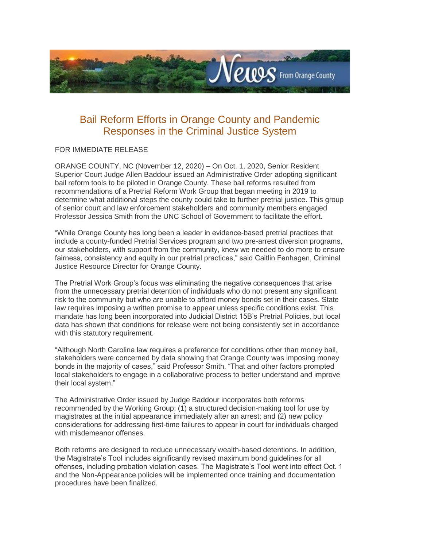

## Bail Reform Efforts in Orange County and Pandemic Responses in the Criminal Justice System

## FOR IMMEDIATE RELEASE

ORANGE COUNTY, NC (November 12, 2020) – On Oct. 1, 2020, Senior Resident Superior Court Judge Allen Baddour issued an Administrative Order adopting significant bail reform tools to be piloted in Orange County. These bail reforms resulted from recommendations of a Pretrial Reform Work Group that began meeting in 2019 to determine what additional steps the county could take to further pretrial justice. This group of senior court and law enforcement stakeholders and community members engaged Professor Jessica Smith from the UNC School of Government to facilitate the effort.

"While Orange County has long been a leader in evidence-based pretrial practices that include a county-funded Pretrial Services program and two pre-arrest diversion programs, our stakeholders, with support from the community, knew we needed to do more to ensure fairness, consistency and equity in our pretrial practices," said Caitlin Fenhagen, Criminal Justice Resource Director for Orange County.

The Pretrial Work Group's focus was eliminating the negative consequences that arise from the unnecessary pretrial detention of individuals who do not present any significant risk to the community but who are unable to afford money bonds set in their cases. State law requires imposing a written promise to appear unless specific conditions exist. This mandate has long been incorporated into Judicial District 15B's Pretrial Policies, but local data has shown that conditions for release were not being consistently set in accordance with this statutory requirement.

"Although North Carolina law requires a preference for conditions other than money bail, stakeholders were concerned by data showing that Orange County was imposing money bonds in the majority of cases," said Professor Smith. "That and other factors prompted local stakeholders to engage in a collaborative process to better understand and improve their local system."

The Administrative Order issued by Judge Baddour incorporates both reforms recommended by the Working Group: (1) a structured decision-making tool for use by magistrates at the initial appearance immediately after an arrest; and (2) new policy considerations for addressing first-time failures to appear in court for individuals charged with misdemeanor offenses.

Both reforms are designed to reduce unnecessary wealth-based detentions. In addition, the Magistrate's Tool includes significantly revised maximum bond guidelines for all offenses, including probation violation cases. The Magistrate's Tool went into effect Oct. 1 and the Non-Appearance policies will be implemented once training and documentation procedures have been finalized.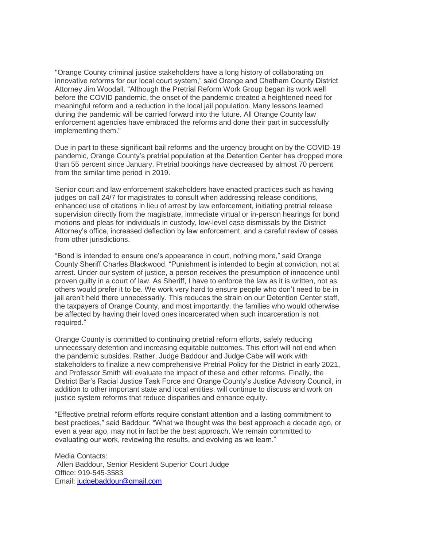"Orange County criminal justice stakeholders have a long history of collaborating on innovative reforms for our local court system," said Orange and Chatham County District Attorney Jim Woodall. "Although the Pretrial Reform Work Group began its work well before the COVID pandemic, the onset of the pandemic created a heightened need for meaningful reform and a reduction in the local jail population. Many lessons learned during the pandemic will be carried forward into the future. All Orange County law enforcement agencies have embraced the reforms and done their part in successfully implementing them."

Due in part to these significant bail reforms and the urgency brought on by the COVID-19 pandemic, Orange County's pretrial population at the Detention Center has dropped more than 55 percent since January. Pretrial bookings have decreased by almost 70 percent from the similar time period in 2019.

Senior court and law enforcement stakeholders have enacted practices such as having judges on call 24/7 for magistrates to consult when addressing release conditions, enhanced use of citations in lieu of arrest by law enforcement, initiating pretrial release supervision directly from the magistrate, immediate virtual or in-person hearings for bond motions and pleas for individuals in custody, low-level case dismissals by the District Attorney's office, increased deflection by law enforcement, and a careful review of cases from other jurisdictions.

"Bond is intended to ensure one's appearance in court, nothing more," said Orange County Sheriff Charles Blackwood. "Punishment is intended to begin at conviction, not at arrest. Under our system of justice, a person receives the presumption of innocence until proven guilty in a court of law. As Sheriff, I have to enforce the law as it is written, not as others would prefer it to be. We work very hard to ensure people who don't need to be in jail aren't held there unnecessarily. This reduces the strain on our Detention Center staff, the taxpayers of Orange County, and most importantly, the families who would otherwise be affected by having their loved ones incarcerated when such incarceration is not required."

Orange County is committed to continuing pretrial reform efforts, safely reducing unnecessary detention and increasing equitable outcomes. This effort will not end when the pandemic subsides. Rather, Judge Baddour and Judge Cabe will work with stakeholders to finalize a new comprehensive Pretrial Policy for the District in early 2021, and Professor Smith will evaluate the impact of these and other reforms. Finally, the District Bar's Racial Justice Task Force and Orange County's Justice Advisory Council, in addition to other important state and local entities, will continue to discuss and work on justice system reforms that reduce disparities and enhance equity.

"Effective pretrial reform efforts require constant attention and a lasting commitment to best practices," said Baddour. "What we thought was the best approach a decade ago, or even a year ago, may not in fact be the best approach. We remain committed to evaluating our work, reviewing the results, and evolving as we learn."

Media Contacts: Allen Baddour, Senior Resident Superior Court Judge Office: 919-545-3583 Email: [judgebaddour@gmail.com](mailto:judgebaddour@gmail.com)